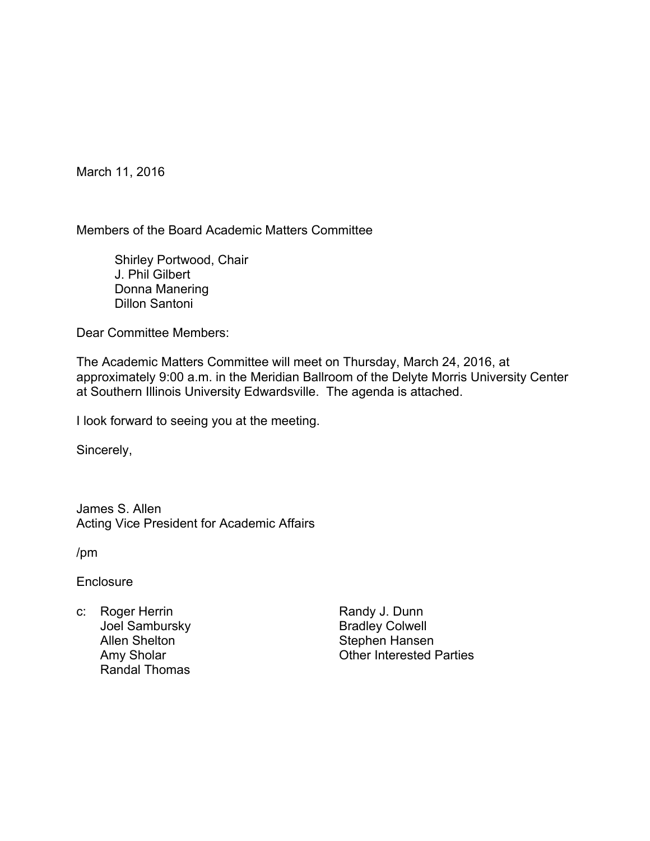March 11, 2016

Members of the Board Academic Matters Committee

 Shirley Portwood, Chair J. Phil Gilbert Donna Manering Dillon Santoni

Dear Committee Members:

The Academic Matters Committee will meet on Thursday, March 24, 2016, at approximately 9:00 a.m. in the Meridian Ballroom of the Delyte Morris University Center at Southern Illinois University Edwardsville. The agenda is attached.

I look forward to seeing you at the meeting.

Sincerely,

James S. Allen Acting Vice President for Academic Affairs

/pm

**Enclosure** 

c: Roger Herrin Joel Sambursky Allen Shelton Amy Sholar Randal Thomas

Randy J. Dunn Bradley Colwell Stephen Hansen Other Interested Parties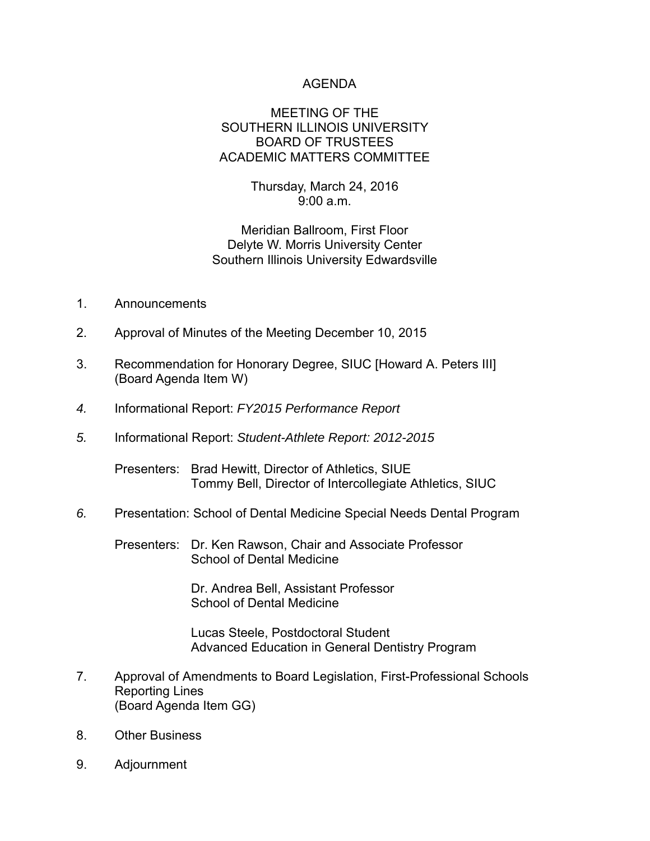## AGENDA

### MEETING OF THE SOUTHERN ILLINOIS UNIVERSITY BOARD OF TRUSTEES ACADEMIC MATTERS COMMITTEE

Thursday, March 24, 2016 9:00 a.m.

Meridian Ballroom, First Floor Delyte W. Morris University Center Southern Illinois University Edwardsville

- 1. Announcements
- 2. Approval of Minutes of the Meeting December 10, 2015
- 3. Recommendation for Honorary Degree, SIUC [Howard A. Peters III] (Board Agenda Item W)
- *4.* Informational Report: *FY2015 Performance Report*
- *5.* Informational Report: *Student-Athlete Report: 2012-2015*

Presenters: Brad Hewitt, Director of Athletics, SIUE Tommy Bell, Director of Intercollegiate Athletics, SIUC

*6.* Presentation: School of Dental Medicine Special Needs Dental Program

Presenters: Dr. Ken Rawson, Chair and Associate Professor School of Dental Medicine

> Dr. Andrea Bell, Assistant Professor School of Dental Medicine

 Lucas Steele, Postdoctoral Student Advanced Education in General Dentistry Program

- 7. Approval of Amendments to Board Legislation, First-Professional Schools Reporting Lines (Board Agenda Item GG)
- 8. Other Business
- 9. Adjournment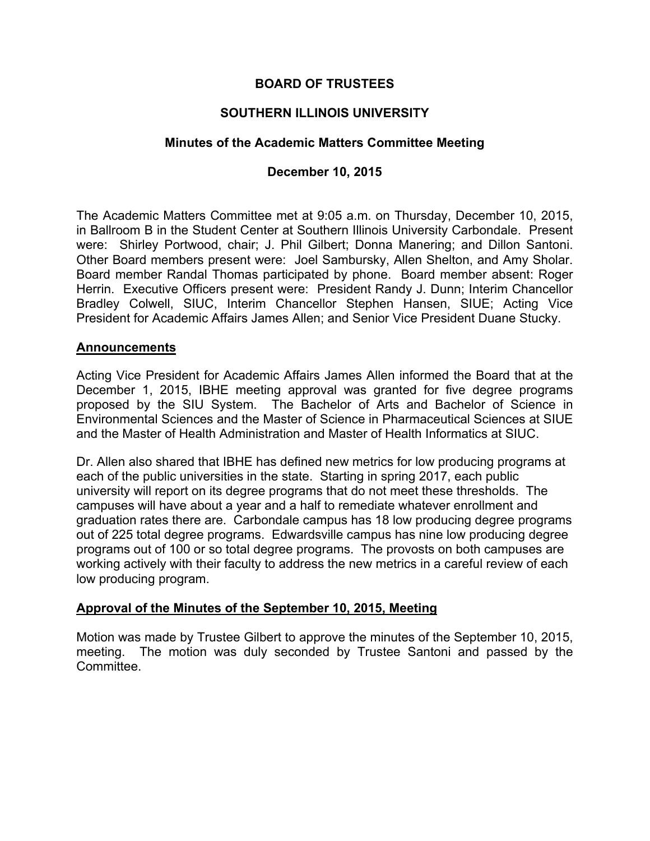# **BOARD OF TRUSTEES**

# **SOUTHERN ILLINOIS UNIVERSITY**

## **Minutes of the Academic Matters Committee Meeting**

## **December 10, 2015**

The Academic Matters Committee met at 9:05 a.m. on Thursday, December 10, 2015, in Ballroom B in the Student Center at Southern Illinois University Carbondale. Present were: Shirley Portwood, chair; J. Phil Gilbert; Donna Manering; and Dillon Santoni. Other Board members present were: Joel Sambursky, Allen Shelton, and Amy Sholar. Board member Randal Thomas participated by phone. Board member absent: Roger Herrin. Executive Officers present were: President Randy J. Dunn; Interim Chancellor Bradley Colwell, SIUC, Interim Chancellor Stephen Hansen, SIUE; Acting Vice President for Academic Affairs James Allen; and Senior Vice President Duane Stucky.

#### **Announcements**

Acting Vice President for Academic Affairs James Allen informed the Board that at the December 1, 2015, IBHE meeting approval was granted for five degree programs proposed by the SIU System. The Bachelor of Arts and Bachelor of Science in Environmental Sciences and the Master of Science in Pharmaceutical Sciences at SIUE and the Master of Health Administration and Master of Health Informatics at SIUC.

Dr. Allen also shared that IBHE has defined new metrics for low producing programs at each of the public universities in the state. Starting in spring 2017, each public university will report on its degree programs that do not meet these thresholds. The campuses will have about a year and a half to remediate whatever enrollment and graduation rates there are. Carbondale campus has 18 low producing degree programs out of 225 total degree programs. Edwardsville campus has nine low producing degree programs out of 100 or so total degree programs. The provosts on both campuses are working actively with their faculty to address the new metrics in a careful review of each low producing program.

#### **Approval of the Minutes of the September 10, 2015, Meeting**

Motion was made by Trustee Gilbert to approve the minutes of the September 10, 2015, meeting. The motion was duly seconded by Trustee Santoni and passed by the Committee.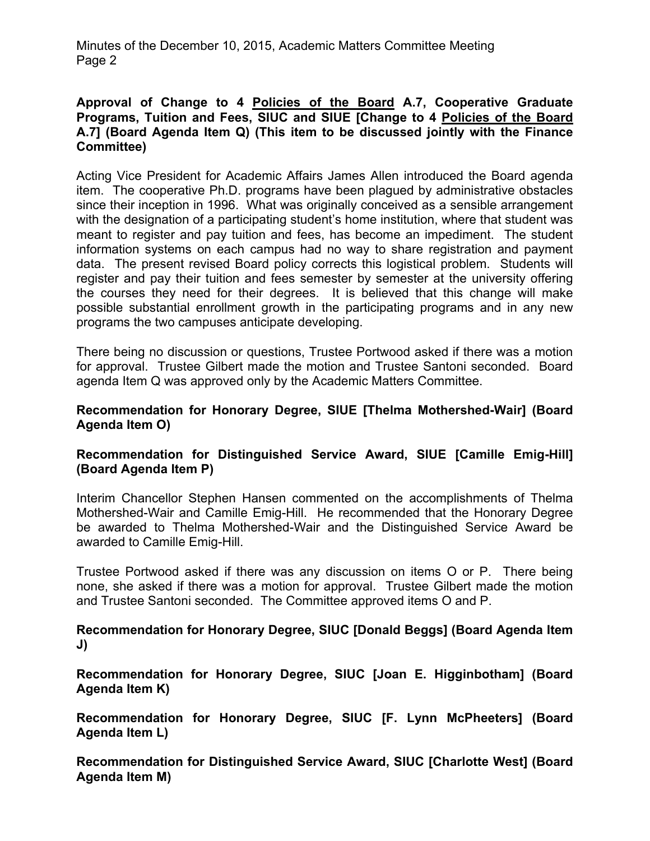Minutes of the December 10, 2015, Academic Matters Committee Meeting Page 2

## **Approval of Change to 4 Policies of the Board A.7, Cooperative Graduate Programs, Tuition and Fees, SIUC and SIUE [Change to 4 Policies of the Board A.7] (Board Agenda Item Q) (This item to be discussed jointly with the Finance Committee)**

Acting Vice President for Academic Affairs James Allen introduced the Board agenda item. The cooperative Ph.D. programs have been plagued by administrative obstacles since their inception in 1996. What was originally conceived as a sensible arrangement with the designation of a participating student's home institution, where that student was meant to register and pay tuition and fees, has become an impediment. The student information systems on each campus had no way to share registration and payment data. The present revised Board policy corrects this logistical problem. Students will register and pay their tuition and fees semester by semester at the university offering the courses they need for their degrees. It is believed that this change will make possible substantial enrollment growth in the participating programs and in any new programs the two campuses anticipate developing.

There being no discussion or questions, Trustee Portwood asked if there was a motion for approval. Trustee Gilbert made the motion and Trustee Santoni seconded. Board agenda Item Q was approved only by the Academic Matters Committee.

## **Recommendation for Honorary Degree, SIUE [Thelma Mothershed-Wair] (Board Agenda Item O)**

# **Recommendation for Distinguished Service Award, SIUE [Camille Emig-Hill] (Board Agenda Item P)**

Interim Chancellor Stephen Hansen commented on the accomplishments of Thelma Mothershed-Wair and Camille Emig-Hill. He recommended that the Honorary Degree be awarded to Thelma Mothershed-Wair and the Distinguished Service Award be awarded to Camille Emig-Hill.

Trustee Portwood asked if there was any discussion on items O or P. There being none, she asked if there was a motion for approval. Trustee Gilbert made the motion and Trustee Santoni seconded. The Committee approved items O and P.

**Recommendation for Honorary Degree, SIUC [Donald Beggs] (Board Agenda Item J)**

**Recommendation for Honorary Degree, SIUC [Joan E. Higginbotham] (Board Agenda Item K)** 

**Recommendation for Honorary Degree, SIUC [F. Lynn McPheeters] (Board Agenda Item L)**

**Recommendation for Distinguished Service Award, SIUC [Charlotte West] (Board Agenda Item M)**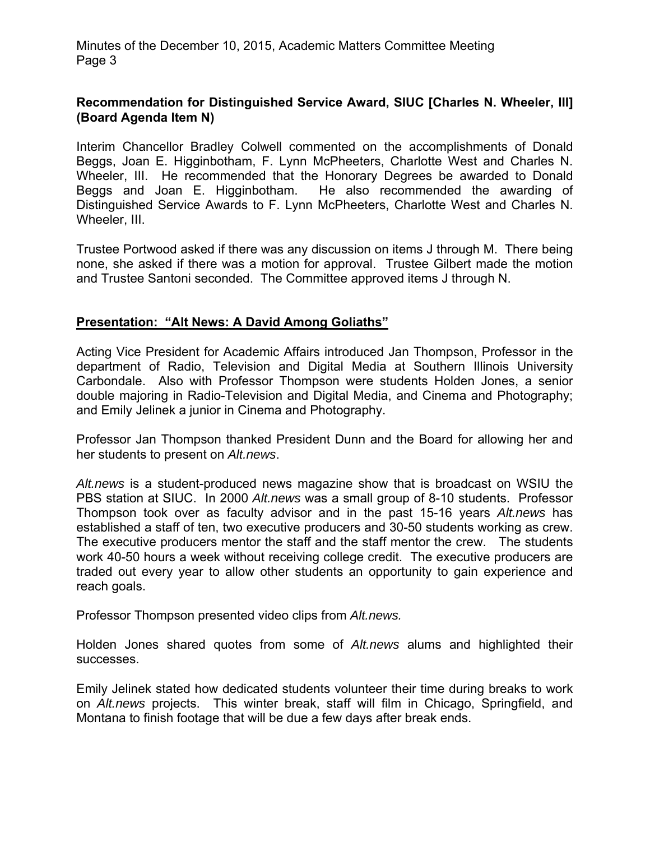Minutes of the December 10, 2015, Academic Matters Committee Meeting Page 3

# **Recommendation for Distinguished Service Award, SIUC [Charles N. Wheeler, III] (Board Agenda Item N)**

Interim Chancellor Bradley Colwell commented on the accomplishments of Donald Beggs, Joan E. Higginbotham, F. Lynn McPheeters, Charlotte West and Charles N. Wheeler, III. He recommended that the Honorary Degrees be awarded to Donald Beggs and Joan E. Higginbotham. He also recommended the awarding of Distinguished Service Awards to F. Lynn McPheeters, Charlotte West and Charles N. Wheeler, III.

Trustee Portwood asked if there was any discussion on items J through M. There being none, she asked if there was a motion for approval. Trustee Gilbert made the motion and Trustee Santoni seconded. The Committee approved items J through N.

## **Presentation: "Alt News: A David Among Goliaths"**

Acting Vice President for Academic Affairs introduced Jan Thompson, Professor in the department of Radio, Television and Digital Media at Southern Illinois University Carbondale. Also with Professor Thompson were students Holden Jones, a senior double majoring in Radio-Television and Digital Media, and Cinema and Photography; and Emily Jelinek a junior in Cinema and Photography.

Professor Jan Thompson thanked President Dunn and the Board for allowing her and her students to present on *Alt.news*.

*Alt.news* is a student-produced news magazine show that is broadcast on WSIU the PBS station at SIUC. In 2000 *Alt.news* was a small group of 8-10 students. Professor Thompson took over as faculty advisor and in the past 15-16 years *Alt.news* has established a staff of ten, two executive producers and 30-50 students working as crew. The executive producers mentor the staff and the staff mentor the crew. The students work 40-50 hours a week without receiving college credit. The executive producers are traded out every year to allow other students an opportunity to gain experience and reach goals.

Professor Thompson presented video clips from *Alt.news.*

Holden Jones shared quotes from some of *Alt.news* alums and highlighted their successes.

Emily Jelinek stated how dedicated students volunteer their time during breaks to work on *Alt.news* projects. This winter break, staff will film in Chicago, Springfield, and Montana to finish footage that will be due a few days after break ends.